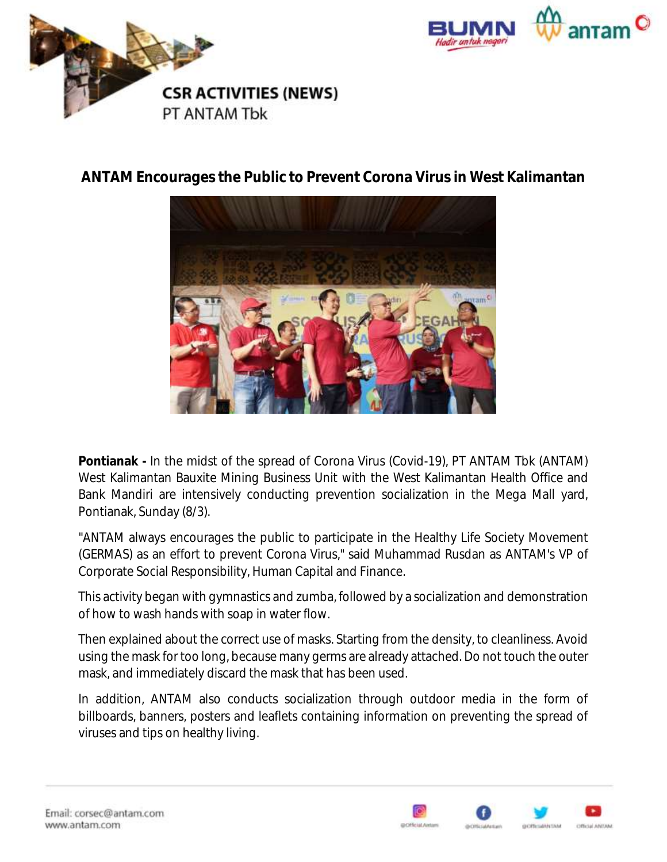



## **ANTAM Encourages the Public to Prevent Corona Virus in West Kalimantan**



**Pontianak -** In the midst of the spread of Corona Virus (Covid-19), PT ANTAM Tbk (ANTAM) West Kalimantan Bauxite Mining Business Unit with the West Kalimantan Health Office and Bank Mandiri are intensively conducting prevention socialization in the Mega Mall yard, Pontianak, Sunday (8/3).

"ANTAM always encourages the public to participate in the Healthy Life Society Movement (GERMAS) as an effort to prevent Corona Virus," said Muhammad Rusdan as ANTAM's VP of Corporate Social Responsibility, Human Capital and Finance.

This activity began with gymnastics and zumba, followed by a socialization and demonstration of how to wash hands with soap in water flow.

Then explained about the correct use of masks. Starting from the density, to cleanliness. Avoid using the mask for too long, because many germs are already attached. Do not touch the outer mask, and immediately discard the mask that has been used.

In addition, ANTAM also conducts socialization through outdoor media in the form of billboards, banners, posters and leaflets containing information on preventing the spread of viruses and tips on healthy living.